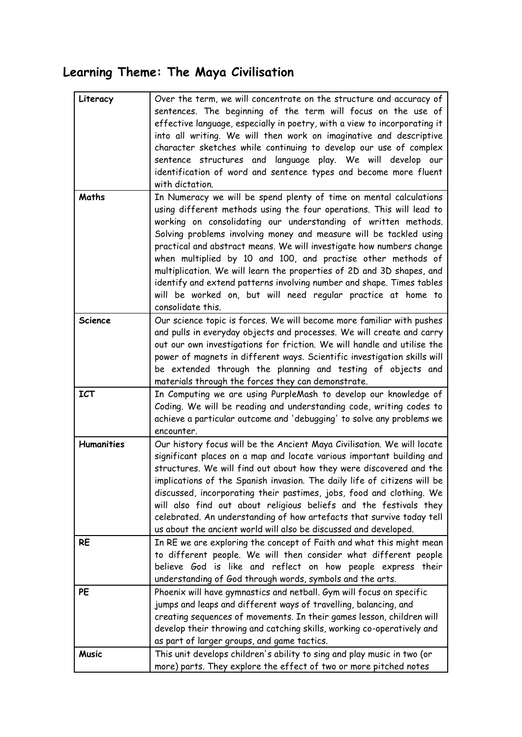# **Learning Theme: The Maya Civilisation**

| Literacy          | Over the term, we will concentrate on the structure and accuracy of<br>sentences. The beginning of the term will focus on the use of<br>effective language, especially in poetry, with a view to incorporating it<br>into all writing. We will then work on imaginative and descriptive<br>character sketches while continuing to develop our use of complex                                                                                                                                                                                                                                                                                                      |
|-------------------|-------------------------------------------------------------------------------------------------------------------------------------------------------------------------------------------------------------------------------------------------------------------------------------------------------------------------------------------------------------------------------------------------------------------------------------------------------------------------------------------------------------------------------------------------------------------------------------------------------------------------------------------------------------------|
|                   | sentence structures and language play. We will develop our<br>identification of word and sentence types and become more fluent<br>with dictation.                                                                                                                                                                                                                                                                                                                                                                                                                                                                                                                 |
| Maths             | In Numeracy we will be spend plenty of time on mental calculations<br>using different methods using the four operations. This will lead to<br>working on consolidating our understanding of written methods.<br>Solving problems involving money and measure will be tackled using<br>practical and abstract means. We will investigate how numbers change<br>when multiplied by 10 and 100, and practise other methods of<br>multiplication. We will learn the properties of 2D and 3D shapes, and<br>identify and extend patterns involving number and shape. Times tables<br>will be worked on, but will need regular practice at home to<br>consolidate this. |
| <b>Science</b>    | Our science topic is forces. We will become more familiar with pushes<br>and pulls in everyday objects and processes. We will create and carry<br>out our own investigations for friction. We will handle and utilise the<br>power of magnets in different ways. Scientific investigation skills will<br>be extended through the planning and testing of objects and<br>materials through the forces they can demonstrate.                                                                                                                                                                                                                                        |
| <b>ICT</b>        | In Computing we are using PurpleMash to develop our knowledge of<br>Coding. We will be reading and understanding code, writing codes to<br>achieve a particular outcome and 'debugging' to solve any problems we<br>encounter.                                                                                                                                                                                                                                                                                                                                                                                                                                    |
| <b>Humanities</b> | Our history focus will be the Ancient Maya Civilisation. We will locate<br>significant places on a map and locate various important building and<br>structures. We will find out about how they were discovered and the<br>implications of the Spanish invasion. The daily life of citizens will be<br>discussed, incorporating their pastimes, jobs, food and clothing. We<br>will also find out about religious beliefs and the festivals they<br>celebrated. An understanding of how artefacts that survive today tell<br>us about the ancient world will also be discussed and developed.                                                                     |
| <b>RE</b>         | In RE we are exploring the concept of Faith and what this might mean<br>to different people. We will then consider what different people<br>believe God is like and reflect on how people express their<br>understanding of God through words, symbols and the arts.                                                                                                                                                                                                                                                                                                                                                                                              |
| PE                | Phoenix will have gymnastics and netball. Gym will focus on specific<br>jumps and leaps and different ways of travelling, balancing, and<br>creating sequences of movements. In their games lesson, children will<br>develop their throwing and catching skills, working co-operatively and<br>as part of larger groups, and game tactics.                                                                                                                                                                                                                                                                                                                        |
| <b>Music</b>      | This unit develops children's ability to sing and play music in two (or<br>more) parts. They explore the effect of two or more pitched notes                                                                                                                                                                                                                                                                                                                                                                                                                                                                                                                      |